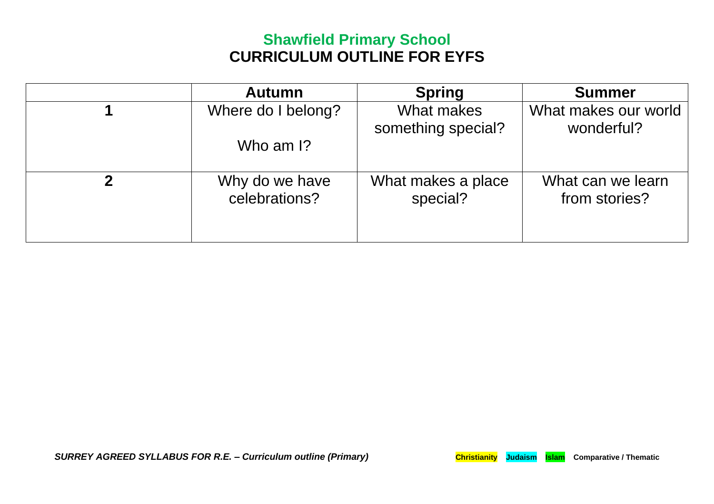## **Shawfield Primary School CURRICULUM OUTLINE FOR EYFS**

| <b>Autumn</b>                   | <b>Spring</b>                    | <b>Summer</b>                      |
|---------------------------------|----------------------------------|------------------------------------|
| Where do I belong?              | What makes<br>something special? | What makes our world<br>wonderful? |
| Who am I?                       |                                  |                                    |
| Why do we have<br>celebrations? | What makes a place<br>special?   | What can we learn<br>from stories? |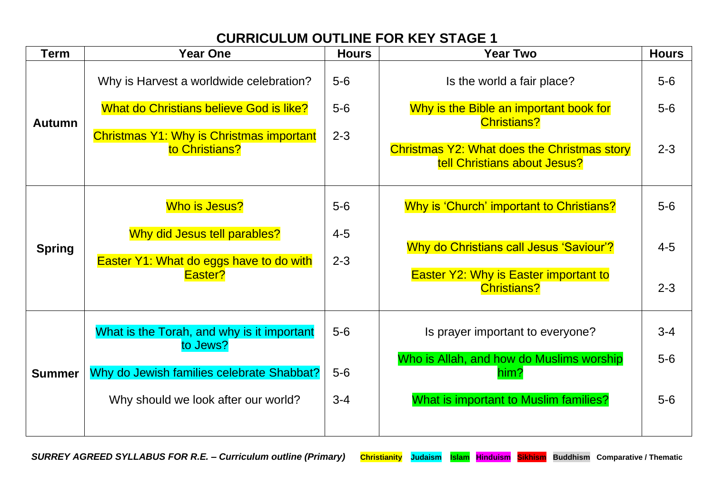## **CURRICULUM OUTLINE FOR KEY STAGE 1**

| <b>Term</b>   | <b>Year One</b>                                                         | <b>Hours</b>       | <b>Year Two</b>                                                                    | <b>Hours</b> |
|---------------|-------------------------------------------------------------------------|--------------------|------------------------------------------------------------------------------------|--------------|
| <b>Autumn</b> | Why is Harvest a worldwide celebration?                                 | $5-6$              | Is the world a fair place?                                                         | $5-6$        |
|               | What do Christians believe God is like?                                 | $5-6$              | Why is the Bible an important book for<br><b>Christians?</b>                       | $5-6$        |
|               | Christmas Y1: Why is Christmas important<br>to Christians?              | $2 - 3$            | <b>Christmas Y2: What does the Christmas story</b><br>tell Christians about Jesus? | $2 - 3$      |
|               | Who is Jesus?                                                           | $5-6$              | Why is 'Church' important to Christians?                                           | $5-6$        |
| <b>Spring</b> | Why did Jesus tell parables?<br>Easter Y1: What do eggs have to do with | $4 - 5$<br>$2 - 3$ | Why do Christians call Jesus 'Saviour'?                                            | $4 - 5$      |
|               | Easter?                                                                 |                    | <b>Easter Y2: Why is Easter important to</b><br><b>Christians?</b>                 | $2 - 3$      |
|               | What is the Torah, and why is it important<br>to Jews?                  | $5-6$              | Is prayer important to everyone?                                                   | $3 - 4$      |
| <b>Summer</b> | Why do Jewish families celebrate Shabbat?                               | $5-6$              | Who is Allah, and how do Muslims worship<br>him?                                   | $5-6$        |
|               | Why should we look after our world?                                     | $3 - 4$            | <b>What is important to Muslim families?</b>                                       | $5-6$        |
|               |                                                                         |                    |                                                                                    |              |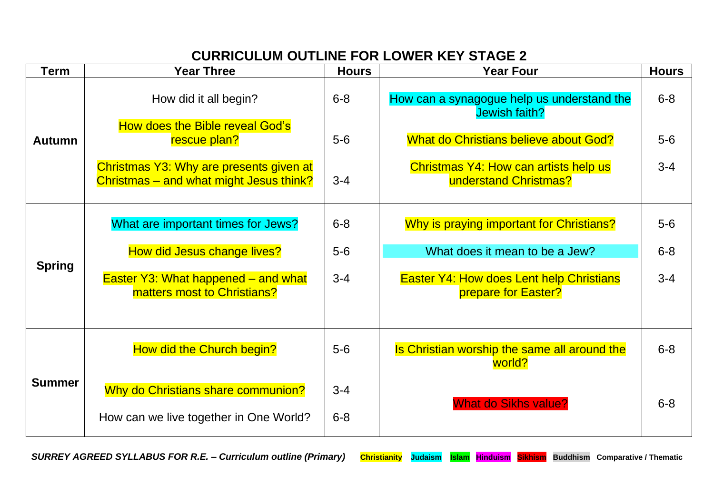## **CURRICULUM OUTLINE FOR LOWER KEY STAGE 2**

| Term          | <b>Year Three</b>                                                                  | <b>Hours</b>       | <b>Year Four</b>                                                       | <b>Hours</b> |
|---------------|------------------------------------------------------------------------------------|--------------------|------------------------------------------------------------------------|--------------|
| <b>Autumn</b> | How did it all begin?                                                              | $6 - 8$            | How can a synagogue help us understand the<br>Jewish faith?            | $6 - 8$      |
|               | <b>How does the Bible reveal God's</b><br>rescue plan?                             | $5-6$              | What do Christians believe about God?                                  | $5-6$        |
|               | Christmas Y3: Why are presents given at<br>Christmas – and what might Jesus think? | $3 - 4$            | Christmas Y4: How can artists help us<br>understand Christmas?         | $3 - 4$      |
| <b>Spring</b> | What are important times for Jews?                                                 | $6 - 8$            | Why is praying important for Christians?                               | $5-6$        |
|               | How did Jesus change lives?                                                        | $5-6$              | What does it mean to be a Jew?                                         | $6 - 8$      |
|               | Easter Y3: What happened - and what<br>matters most to Christians?                 | $3 - 4$            | <b>Easter Y4: How does Lent help Christians</b><br>prepare for Easter? | $3 - 4$      |
|               | How did the Church begin?                                                          | $5-6$              | Is Christian worship the same all around the<br>world?                 | $6 - 8$      |
| <b>Summer</b> | Why do Christians share communion?<br>How can we live together in One World?       | $3 - 4$<br>$6 - 8$ | <b>What do Sikhs value?</b>                                            | $6 - 8$      |

*SURREY AGREED SYLLABUS FOR R.E. – Curriculum outline (Primary)* **Christianity Judaism Islam Hinduism Sikhism Buddhism Comparative / Thematic**